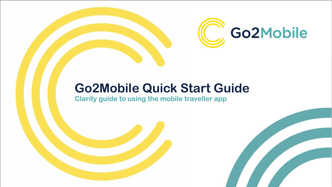

# **Go2Mobile Quick Start Guide**

**Clarity guide to using the mobile traveller app**

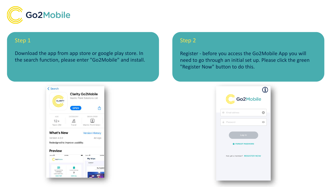

### Step 1

Download the app from app store or google play store. In the search function, please enter "Go2Mobile" and install.

### Step 2

Register - before you access the Go2Mobile App you will need to go through an initial set up. Please click the green "Register Now" button to do this.



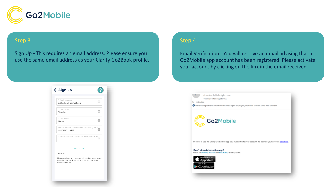

### Step 3

Sign Up - This requires an email address. Please ensure you use the same email address as your Clarity Go2Book profile.

### Step 4

Email Verification - You will receive an email advising that a Go2Mobile app account has been registered. Please activate your account by clicking on the link in the email received.



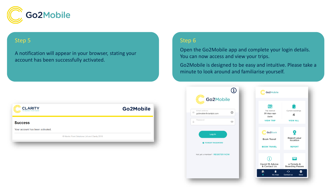

### Step 5

A notification will appear in your browser, stating your account has been successfully activated.

### Step 6

 $\mathbb{R}^+$ 

Open the Go2Mobile app and complete your login details. You can now access and view your trips.

Go2Mobile is designed to be easy and intuitive. Please take a minute to look around and familiarise yourself.

| Go2Mobile |
|-----------|
|           |
|           |
|           |

|                                                   |                                  |   | Go2Mobile                                                              |                                          |           |
|---------------------------------------------------|----------------------------------|---|------------------------------------------------------------------------|------------------------------------------|-----------|
| Go2Mobile                                         |                                  |   |                                                                        |                                          |           |
| mail address<br>o2mobile@claritybt.com<br>assword | $\boldsymbol{\Omega}$<br>$\odot$ |   | <b>AHP</b><br>Trip started<br>28 days ago<br>Delhi<br><b>VIEW TRIP</b> | Current bookings<br>4<br><b>VIEW ALL</b> |           |
|                                                   |                                  |   |                                                                        |                                          |           |
| Log In<br><b>O FORGOT PASSWORD</b>                |                                  |   | Go <sub>2</sub> Book<br><b>Book Travel</b>                             | g<br>Report your<br>location             |           |
|                                                   |                                  |   | <b>BOOK TRAVEL</b>                                                     | <b>REPORT</b>                            |           |
| lot yet a member? REGISTER NOW                    |                                  |   | Ŧ<br>Covid-19 Advice                                                   | e-Tickets &                              |           |
|                                                   |                                  |   | & Contact Us                                                           | <b>Boarding Passes</b>                   |           |
|                                                   |                                  | n | ë<br>My trips                                                          | $\Omega$<br><b>Contact us</b>            | ⊕<br>More |
|                                                   |                                  |   |                                                                        |                                          |           |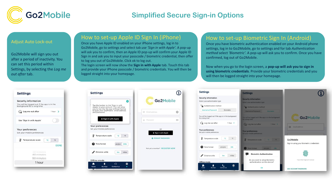

## **Simplified Secure Sign-in Options**

#### Adjust Auto Lock-out

Go2Mobile will sign you out after a period of inactivity. You can set this period within Settings, by selecting the *Log me out after* tab.

1 hour

### **Settings** Security information You will be logged out if the app is in the<br>background for a long time  $\binom{1}{0}$  Log me out after  $1 hour$  > Use 'Sign in with Apple' Your preferences Set your mobile preferences Temperature scale  ${}^{\circ}C$  $^{\circ}$ F **DONE** 40 minutes 50 minutes

### How to set-up Apple ID Sign In (iPhone)

Once you have Apple ID enabled on your iPhone settings, log in to Go2Mobile, go to settings and select tab *use 'Sign in with Apple'.* A pop-up will ask you to confirm, then an Apple ID pop-up will confirm your Apple ID Sign in and ask you to input your passcode / biometric credential, then offer to log you out of Go2Mobile. Click ok to log out.

The login screen will now show the **Sign in with Apple** tab. Touch this tab and provide your iPhone passcode / biometric credentials. You will then be logged straight into your homepage.

### How to set-up Biometric Sign In (Android)

Once you have biometric authentication enabled on your Android phone settings, log in to Go2Mobile, go to settings and for tab *Authentication method* select *'Biometric'.* A pop-up will ask you to confirm. Once you have confirmed, log out of Go2Mobile.

Now when you go to the login screen, a **pop-up will ask you to sign in using biometric credentials**. Provide your biometric credentials and you will then be logged straight into your homepage.



| <b>Settings</b>                                                           | <b>Settings</b>                                                           |                                          |
|---------------------------------------------------------------------------|---------------------------------------------------------------------------|------------------------------------------|
| <b>Security information</b><br>Select your authentication type            | <b>Security information</b><br>Select your authentication type            |                                          |
| Authentication method                                                     | Authentication method                                                     |                                          |
| Username/Password<br>Biometric                                            | Username/Password<br><b>Biometric</b>                                     |                                          |
| You will be logged out if the app is in the background<br>for a long time | You will be logged out if the app is in the background<br>for a long time | Go2Mobile                                |
| Co Log me out after<br>$1$ Hour $\geq$                                    | (a) Log me out after<br>$1$ Hour $\geq$                                   |                                          |
| Your preferences<br>Set your mobile preferences                           | <b>Your preferences</b><br>Set your mobile preferences                    | <b>Email address</b><br>西                |
| Temperature scale<br>°F<br>۴C                                             | Temperature scale<br>۰C                                                   | Go2Mobile                                |
|                                                                           |                                                                           | Sign in using your biometric credentials |
| Time format<br>24h<br>am/pm                                               | <b>Time format</b><br>24h<br>am/pm                                        |                                          |
| Distance units<br>miles<br>km                                             | <b>Biometric Authentication</b>                                           |                                          |
| <b>Offline</b> mode                                                       | Do you want to setup biometric<br>authentication on this device?          | Touch the fingerprint sensor             |
| Ë<br>⋒<br>n<br>Contact us<br>Home<br>My trips                             | OK                                                                        | <b>USE ACCOUNT PASSWORD</b>              |
| <b><i><u> Alexander Andreis</u></i></b>                                   |                                                                           |                                          |